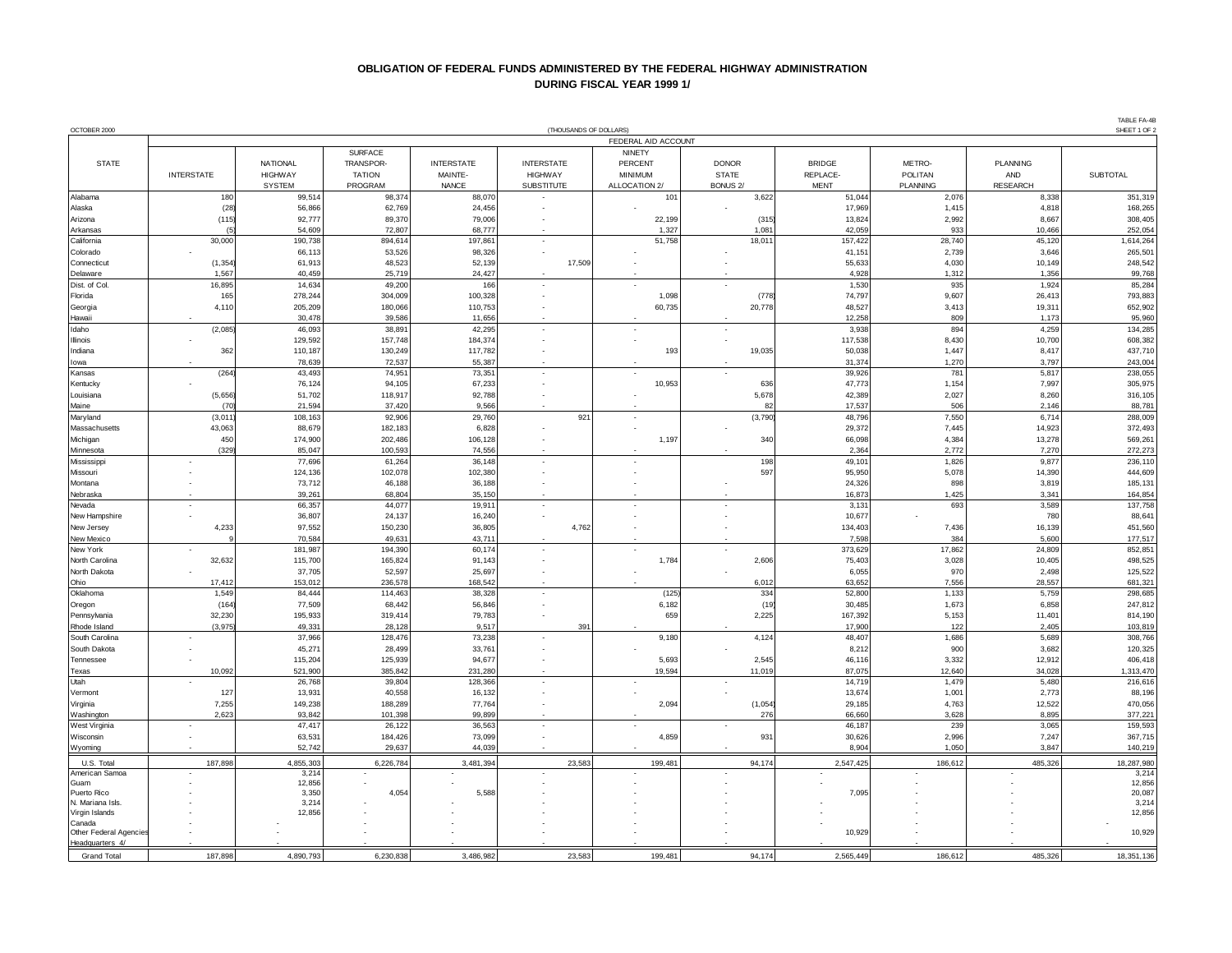## **OBLIGATION OF FEDERAL FUNDS ADMINISTERED BY THE FEDERAL HIGHWAY ADMINISTRATION DURING FISCAL YEAR 1999 1/**

| OCTOBER 2000<br>(THOUSANDS OF DOLLARS) |                     |                   |                   |                   |                   |                |                 |                  |                | SHEET 1 OF 2    |                    |
|----------------------------------------|---------------------|-------------------|-------------------|-------------------|-------------------|----------------|-----------------|------------------|----------------|-----------------|--------------------|
|                                        | FEDERAL AID ACCOUNT |                   |                   |                   |                   |                |                 |                  |                |                 |                    |
|                                        |                     |                   | <b>SURFACE</b>    |                   |                   | <b>NINETY</b>  |                 |                  |                |                 |                    |
| <b>STATE</b>                           |                     | NATIONAL          | TRANSPOR-         | <b>INTERSTATE</b> | <b>INTERSTATE</b> | PERCENT        | <b>DONOR</b>    | <b>BRIDGE</b>    | METRO-         | PLANNING        |                    |
|                                        | <b>INTERSTATE</b>   | <b>HIGHWAY</b>    | <b>TATION</b>     | MAINTE-           | <b>HIGHWAY</b>    | <b>MINIMUM</b> | <b>STATE</b>    | REPLACE-         | POLITAN        | AND             | <b>SUBTOTAL</b>    |
|                                        |                     | <b>SYSTEM</b>     | PROGRAM           | <b>NANCE</b>      | <b>SUBSTITUTE</b> | ALLOCATION 2/  | <b>BONUS 2/</b> | <b>MENT</b>      | PLANNING       | <b>RESEARCH</b> |                    |
| Alabama                                | 180                 | 99,514            | 98,374            | 88,070            |                   | 101            | 3,622           | 51,044           | 2,076          | 8,338           | 351,319            |
| Alaska                                 | (28)                | 56,866            | 62,769            | 24,456            |                   |                |                 | 17,969           | 1,415          | 4,818           | 168,265            |
| Arizona                                | (115)               | 92,777            | 89,370            | 79,006            |                   | 22,199         | (315)           | 13,824           | 2,992          | 8,667           | 308,405            |
| Arkansas                               |                     | 54,609            | 72,807            | 68,777            |                   | 1,327          | 1,081           | 42,059           | 933            | 10,466          | 252,054            |
| California                             | 30,000              | 190,738           | 894,614           | 197,861           | $\overline{a}$    | 51,758         | 18,011          | 157,422          | 28,740         | 45,120          | 1,614,264          |
| Colorado                               |                     | 66,113            | 53,526            | 98,326            |                   |                |                 | 41,151           | 2,739          | 3,646           | 265,501            |
| Connecticu                             | (1, 354)            | 61,913            | 48,523            | 52,139            | 17,509            |                |                 | 55,633           | 4,030          | 10,149          | 248,542            |
| Delaware                               | 1,567               | 40,459            | 25,719            | 24,427            |                   |                |                 | 4,928            | 1,312          | 1,356           | 99,768             |
| Dist. of Col                           | 16,895              | 14,634            | 49,200            | 166               |                   |                |                 | 1,530            | 935            | 1,924           | 85,284             |
| Florida                                | 165                 | 278,244           | 304,009           | 100,328           |                   | 1,098          | (778)           | 74,797           | 9,607          | 26,413          | 793,883            |
| Georgia                                | 4,110               | 205,209           | 180,066           | 110,753           |                   | 60,735         | 20,778          | 48,527           | 3,413          | 19,311          | 652,902            |
| Hawaii                                 |                     | 30,478            | 39,586            | 11,656            |                   |                |                 | 12,258           | 809            | 1,173           | 95,960             |
| Idaho                                  | (2,085)             | 46,093            |                   | 42,295            |                   |                |                 | 3,938            | 894            | 4,259           | 134,285            |
| Illinois                               |                     | 129,592           | 38,891<br>157,748 | 184,374           |                   |                |                 | 117,538          | 8,430          | 10,700          | 608,382            |
|                                        |                     |                   |                   |                   |                   | 193            |                 |                  | 1,447          |                 |                    |
| ndiana                                 | 362                 | 110,187<br>78,639 | 130,249<br>72,537 | 117,782<br>55,387 |                   |                | 19,035          | 50,038<br>31,374 | 1,270          | 8,417<br>3,797  | 437,710<br>243,004 |
| lowa                                   | (264)               | 43,493            |                   |                   |                   |                |                 |                  | 781            |                 | 238,055            |
| Kansas                                 |                     |                   | 74,951            | 73,351            |                   |                |                 | 39,926           |                | 5,817           |                    |
| Kentucky                               |                     | 76,124            | 94,105            | 67,233            |                   | 10,953         | 636             | 47,773           | 1,154          | 7,997           | 305,975            |
| Louisiana                              | (5,656)             | 51,702            | 118,917           | 92,788            |                   |                | 5,678           | 42,389           | 2,027          | 8,260           | 316,105            |
| Maine                                  | (70)                | 21,594            | 37,420            | 9,566             |                   |                | 82              | 17,537           | 506            | 2,146           | 88,781             |
| Maryland                               | (3,011)             | 108,163           | 92,906            | 29,760            | 921               |                | (3,790)         | 48,796           | 7,550          | 6,714           | 288,009            |
| Massachusetts                          | 43,063              | 88,679            | 182,183           | 6,828             |                   |                |                 | 29,372           | 7,445          | 14,923          | 372,493            |
| Michigan                               | 450<br>(329)        | 174,900           | 202,486           | 106,128           |                   | 1,197          | 340             | 66,098           | 4,384<br>2,772 | 13,278          | 569,261            |
| Minnesota                              |                     | 85,047            | 100,593           | 74,556            |                   |                |                 | 2,364            |                | 7,270           | 272,273            |
| Mississippi                            |                     | 77,696            | 61,264            | 36,148            | $\overline{a}$    |                | 198             | 49,101           | 1,826          | 9,877           | 236,110            |
| Missouri                               |                     | 124,136           | 102,078           | 102,380           |                   |                | 597             | 95,950           | 5,078          | 14,390          | 444,609            |
| Montana                                |                     | 73,712            | 46,188            | 36,188            |                   |                |                 | 24,326           | 898            | 3,819           | 185,131            |
| Nebraska                               |                     | 39,261            | 68,804            | 35,150            |                   |                |                 | 16,873           | 1,425          | 3,341           | 164,854            |
| Nevada                                 | $\sim$              | 66,357            | 44,077            | 19,911            | ×,                |                |                 | 3,131            | 693            | 3,589           | 137,758            |
| New Hampshire                          |                     | 36,807            | 24,137            | 16,240            |                   |                |                 | 10,677           |                | 780             | 88,641             |
| New Jersey                             | 4,233               | 97,552            | 150,230           | 36,805            | 4,762             |                |                 | 134,403          | 7,436          | 16,139          | 451,560            |
| New Mexico                             |                     | 70,584            | 49,631            | 43,711            | $\overline{a}$    |                |                 | 7,598            | 384            | 5,600           | 177,517            |
| New York                               |                     | 181,987           | 194,390           | 60,174            |                   |                |                 | 373,629          | 17,862         | 24,809          | 852,851            |
| North Carolina                         | 32,632              | 115,700           | 165,824           | 91,143            |                   | 1,784          | 2,606           | 75,403           | 3,028          | 10,405          | 498,525            |
| North Dakota                           |                     | 37,705            | 52,597            | 25,697            |                   |                |                 | 6,055            | 970            | 2,498           | 125,522            |
| Ohio                                   | 17,412              | 153,012           | 236,578           | 168,542           |                   |                | 6,012           | 63,652           | 7,556          | 28,557          | 681,321            |
| Oklahoma                               | 1,549               | 84,444            | 114,463           | 38,328            |                   | (125)          | 334             | 52,800           | 1,133          | 5,759           | 298,685            |
| Oregon                                 | (164)               | 77,509            | 68,442            | 56,846            |                   | 6,182          | (19             | 30,485           | 1,673          | 6,858           | 247,812            |
| Pennsylvania                           | 32,230              | 195,933           | 319,414           | 79,783            |                   | 659            | 2,225           | 167,392          | 5,153          | 11,401          | 814,190            |
| Rhode Island                           | (3,975)             | 49,331            | 28,128            | 9,517             | 391<br>÷.         |                |                 | 17,900           | 122            | 2,405           | 103,819            |
| South Carolina                         |                     | 37,966            | 128,476           | 73,238            |                   | 9,180          | 4,124           | 48,407           | 1,686          | 5,689           | 308,766            |
| South Dakota                           |                     | 45,271            | 28,499            | 33,761            |                   |                | 2.545           | 8,212            | 900            | 3,682           | 120,325            |
| Tennessee                              |                     | 115,204           | 125,939           | 94,677            |                   | 5,693          |                 | 46,116           | 3,332          | 12,912          | 406,418            |
| Texas<br>Utah                          | 10,092              | 521,900           | 385,842           | 231,280           |                   | 19,594         | 11,019          | 87,075           | 12,640         | 34,028          | 1,313,470          |
|                                        |                     | 26,768            | 39,804            | 128,366           |                   |                |                 | 14,719           | 1,479          | 5,480           | 216,616            |
| Vermont                                | 127<br>7,255        | 13,931<br>149,238 | 40,558            | 16,132            |                   |                |                 | 13,674           | 1,001          | 2,773           | 88,196             |
| Virginia                               |                     |                   | 188,289           | 77,764            |                   | 2,094          | (1,054)         | 29,185           | 4,763          | 12,522          | 470,056            |
| Washington                             | 2,623               | 93,842            | 101,398           | 99,899            |                   |                | 276             | 66,660           | 3,628          | 8,895           | 377,221            |
| West Virginia                          |                     | 47,417            | 26,122            | 36,563            | ÷,                |                |                 | 46,187           | 239            | 3,065           | 159,593            |
| Wisconsin                              |                     | 63,531            | 184,426           | 73,099            |                   | 4,859          | 931             | 30,626           | 2,996          | 7,247           | 367,715            |
| Wyoming                                |                     | 52,742            | 29,637            | 44,039            |                   |                |                 | 8,904            | 1,050          | 3,847           | 140,219            |
| U.S. Total                             | 187,898             | 4,855,303         | 6,226,784         | 3,481,394         | 23,583            | 199,481        | 94,174          | 2,547,425        | 186,612        | 485,326         | 18,287,980         |
| American Samoa                         |                     | 3,214             |                   |                   |                   |                |                 |                  |                |                 | 3,214              |
| Guam                                   |                     | 12,856            |                   |                   |                   |                |                 |                  |                |                 | 12,856             |
| Puerto Rico                            |                     | 3,350             | 4,054             | 5,588             |                   |                |                 | 7,095            |                |                 | 20,087             |
| N. Mariana Isls.                       |                     | 3,214             |                   |                   |                   |                |                 |                  |                |                 | 3,214              |
| Virgin Islands<br>Canada               |                     | 12,856            |                   |                   |                   |                |                 |                  |                |                 | 12,856             |
| Other Federal Agencies                 |                     |                   |                   |                   |                   |                |                 | 10,929           |                |                 | 10,929             |
| Headquarters 4/                        |                     |                   |                   |                   |                   |                |                 |                  |                |                 |                    |
| Grand Total                            | 187.898             | 4.890.793         | 6.230.838         | 3.486.982         | 23.583            | 199.481        | 94.174          | 2.565.449        | 186.612        | 485.326         | 18.351.136         |
|                                        |                     |                   |                   |                   |                   |                |                 |                  |                |                 |                    |

TABLE FA-4B